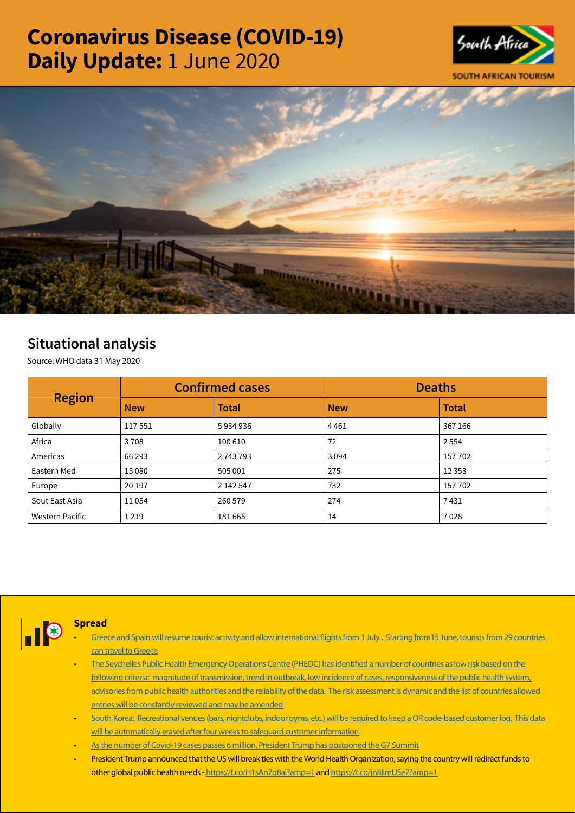# Coronavirus Disease (COVID-19) Daily Update: 1 June 2020





## Situational analysis

Source: WHO data 31 May 2020

| <b>Region</b>          | <b>Confirmed cases</b> |              | <b>Deaths</b> |              |
|------------------------|------------------------|--------------|---------------|--------------|
|                        | <b>New</b>             | <b>Total</b> | <b>New</b>    | <b>Total</b> |
| Globally               | 117551                 | 5934936      | 4461          | 367 166      |
| Africa                 | 3708                   | 100 610      | 72            | 2 5 5 4      |
| Americas               | 66 293                 | 2 743 793    | 3094          | 157 702      |
| Eastern Med            | 15 0 80                | 505 001      | 275           | 12 3 5 3     |
| Europe                 | 20 197                 | 2 142 547    | 732           | 157 702      |
| Sout East Asia         | 11054                  | 260 579      | 274           | 7431         |
| <b>Western Pacific</b> | 1 2 1 9                | 181665       | 14            | 7028         |



#### **Spread**

- Greece and Spain will resume tourist activity and allow international flights from 1 July. Starting from 15 June, tourists from 29 countries [can travel to Greece](https://is.gd/LG9lJa)
- [The Seychelles Public Health Emergency Operations Centre \(PHEOC\) has identified a number of countries as low risk based on the](https://is.gd/CfbIDK)  [following criteria: magnitude of transmission, trend in outbreak, low incidence of cases, responsiveness of the public health system,](https://is.gd/CfbIDK)  advisories from public health authorities and the reliability of the data. The risk assessment is dynamic and the list of countries allowed [entries will be constantly reviewed and may be amended](https://is.gd/CfbIDK)
- [South Korea: Recreational venues \(bars, nightclubs, indoor gyms, etc.\) will be required to keep a QR code-based customer log. This data](https://t.co/k97oHro8At?amp=1)  [will be automatically erased after four weeks to safeguard customer information](https://t.co/k97oHro8At?amp=1)
- [As the number of Covid-19 cases passes 6 million, President Trump has postponed the G7 Summit](https://t.co/ve7atkTpHI?amp=1)
- President Trump announced that the US will break ties with the World Health Organization, saying the country will redirect funds to other global public health needs -<https://t.co/H1sAn7q8ai?amp=1>and<https://t.co/jn8limUSe7?amp=1>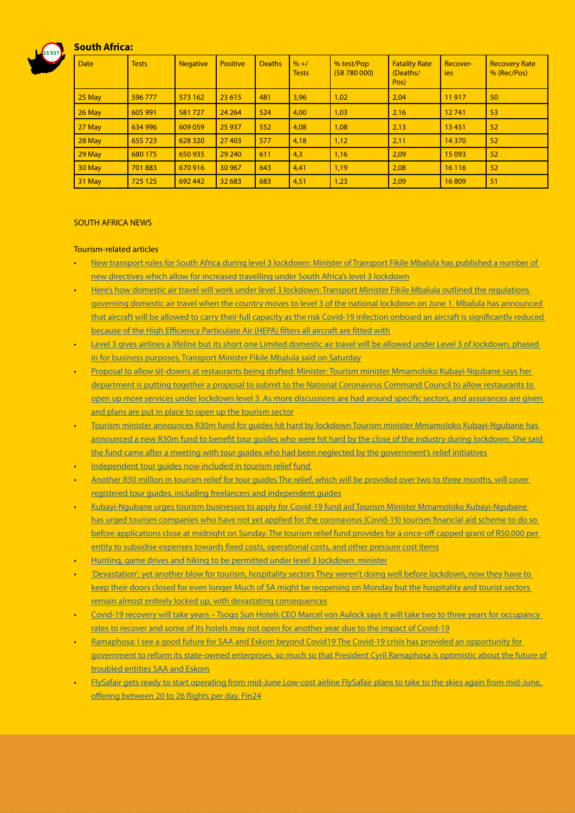### South Africa:

25 937



#### SOUTH AFRICA NEWS

#### Tourism-related articles

- [New transport rules for South Africa during level 3 lockdown: Minister of Transport Fikile Mbalula has published a number of](https://businesstech.co.za/news/business/403393/new-transport-rules-for-south-africa-during-level-3-lockdown/)  [new directives which allow for increased travelling under South Africa's level 3 lockdown](https://businesstech.co.za/news/business/403393/new-transport-rules-for-south-africa-during-level-3-lockdown/)
- [Here's how domestic air travel will work under level 3 lockdown: Transport Minister Fikile Mbalula outlined the regulations](https://www.iol.co.za/news/politics/heres-how-domestic-air-travel-will-work-under-level-3-lockdown-48715713)  [governing domestic air travel when the country moves to level 3 of the national lockdown on June 1. Mbalula has announced](https://www.iol.co.za/news/politics/heres-how-domestic-air-travel-will-work-under-level-3-lockdown-48715713)  [that aircraft will be allowed to carry their full capacity as the risk Covid-19 infection onboard an aircraft is significantly reduced](https://www.iol.co.za/news/politics/heres-how-domestic-air-travel-will-work-under-level-3-lockdown-48715713)  [because of the High Efficiency Particulate Air \(HEPA\) filters all aircraft are fitted with](https://www.iol.co.za/news/politics/heres-how-domestic-air-travel-will-work-under-level-3-lockdown-48715713)
- [Level 3 gives airlines a lifeline but its short one Limited domestic air travel will be allowed under Level 3 of lockdown, phased](https://www.fin24.com/Companies/Industrial/level-3-gives-airlines-a-lifeline-but-its-a-short-one-20200530)  [in for business purposes, Transport Minister Fikile Mbalula said on Saturday](https://www.fin24.com/Companies/Industrial/level-3-gives-airlines-a-lifeline-but-its-a-short-one-20200530)
- [Proposal to allow sit-downs at restaurants being drafted: Minister: Tourism minister Mmamoloko Kubayi-Ngubane says her](https://businesstech.co.za/news/business/403423/proposal-to-allow-sit-downs-at-restaurants-being-drafted-minister/)  [department is putting together a proposal to submit to the National Coronavirus Command Council to allow restaurants to](https://businesstech.co.za/news/business/403423/proposal-to-allow-sit-downs-at-restaurants-being-drafted-minister/)  [open up more services under lockdown level 3. As more discussions are had around specific sectors, and assurances are given](https://businesstech.co.za/news/business/403423/proposal-to-allow-sit-downs-at-restaurants-being-drafted-minister/)  [and plans are put in place to open up the tourism sector](https://businesstech.co.za/news/business/403423/proposal-to-allow-sit-downs-at-restaurants-being-drafted-minister/)
- [Tourism minister announces R30m fund for guides hit hard by lockdown Tourism minister Mmamoloko Kubayi-Ngubane has](https://www.timeslive.co.za/politics/2020-05-30-tourism-minister-announces-r30m-fund-for-guides-hit-hard-by-lockdown/)  [announced a new R30m fund to benefit tour guides who were hit hard by the close of the industry during lockdown. She said](https://www.timeslive.co.za/politics/2020-05-30-tourism-minister-announces-r30m-fund-for-guides-hit-hard-by-lockdown/)  [the fund came after a meeting with tour guides who had been neglected by the government's relief initiatives](https://www.timeslive.co.za/politics/2020-05-30-tourism-minister-announces-r30m-fund-for-guides-hit-hard-by-lockdown/)
- Independent tour quides now included in tourism relief fund
- [Another R30 million in tourism relief for tour guides The relief, which will be provided over two to three months, will cover](https://www.fin24.com/Companies/TravelAndLeisure/another-r30m-in-tourism-relief-for-tour-guides-20200530)  [registered tour guides, including freelancers and independent guides](https://www.fin24.com/Companies/TravelAndLeisure/another-r30m-in-tourism-relief-for-tour-guides-20200530)
- [Kubayi-Ngubane urges tourism businesses to apply for Covid-19 fund aid Tourism Minister Mmamoloko Kubayi-Ngubane](https://www.iol.co.za/news/politics/kubayi-ngubane-urges-tourism-businesses-to-apply-for-covid-19-fund-aid-48724397)  [has urged tourism companies who have not yet applied for the coronavirus \(Covid-19\) tourism financial aid scheme to do so](https://www.iol.co.za/news/politics/kubayi-ngubane-urges-tourism-businesses-to-apply-for-covid-19-fund-aid-48724397)  [before applications close at midnight on Sunday. The tourism relief fund provides for a once-off capped grant of R50,000 per](https://www.iol.co.za/news/politics/kubayi-ngubane-urges-tourism-businesses-to-apply-for-covid-19-fund-aid-48724397)  [entity to subsidise expenses towards fixed costs, operational costs, and other pressure cost items](https://www.iol.co.za/news/politics/kubayi-ngubane-urges-tourism-businesses-to-apply-for-covid-19-fund-aid-48724397)
- [Hunting, game drives and hiking to be permitted under level 3 lockdown: minister](https://www.iol.co.za/news/politics/hunting-game-drives-and-hiking-to-be-permitted-under-level-3-lockdown-minister-48722983)
- ['Devastation': yet another blow for tourism, hospitality sectors They weren't doing well before lockdown, now they have to](https://select.timeslive.co.za/news/2020-06-01-devastation-yet-another-blow-for-tourism-hospitality-sectors/)  [keep their doors closed for even longer Much of SA might be reopening on Monday but the hospitality and tourist sectors](https://select.timeslive.co.za/news/2020-06-01-devastation-yet-another-blow-for-tourism-hospitality-sectors/)  [remain almost entirely locked up, with devastating consequences](https://select.timeslive.co.za/news/2020-06-01-devastation-yet-another-blow-for-tourism-hospitality-sectors/)
- [Covid-19 recovery will take years Tsogo Sun Hotels CEO Marcel von Aulock says it will take two to three years for occupancy](https://www.moneyweb.co.za/news/companies-and-deals/covid-19-recovery-will-take-years-tsogo-sun-hotels-ceo/)  [rates to recover and some of its hotels may not open for another year due to the impact of Covid-19](https://www.moneyweb.co.za/news/companies-and-deals/covid-19-recovery-will-take-years-tsogo-sun-hotels-ceo/)
- [Ramaphosa: I see a good future for SAA and Eskom beyond Covid19 The Covid-19 crisis has provided an opportunity for](https://www.fin24.com/Economy/ramaphosa-i-see-a-good-future-for-saa-eskom-beyond-covid-19-20200531-2)  [government to reform its state-owned enterprises, so much so that President Cyril Ramaphosa is optimistic about the future of](https://www.fin24.com/Economy/ramaphosa-i-see-a-good-future-for-saa-eskom-beyond-covid-19-20200531-2)  [troubled entities SAA and Eskom](https://www.fin24.com/Economy/ramaphosa-i-see-a-good-future-for-saa-eskom-beyond-covid-19-20200531-2)
- [FlySafair gets ready to start operating from mid-June Low-cost airline FlySafair plans to take to the skies again from mid-June,](https://www.fin24.com/Companies/Industrial/flysafair-gets-ready-to-start-operating-from-mid-june-20200531)  [offering between 20 to 26 flights per day. Fin24](https://www.fin24.com/Companies/Industrial/flysafair-gets-ready-to-start-operating-from-mid-june-20200531)